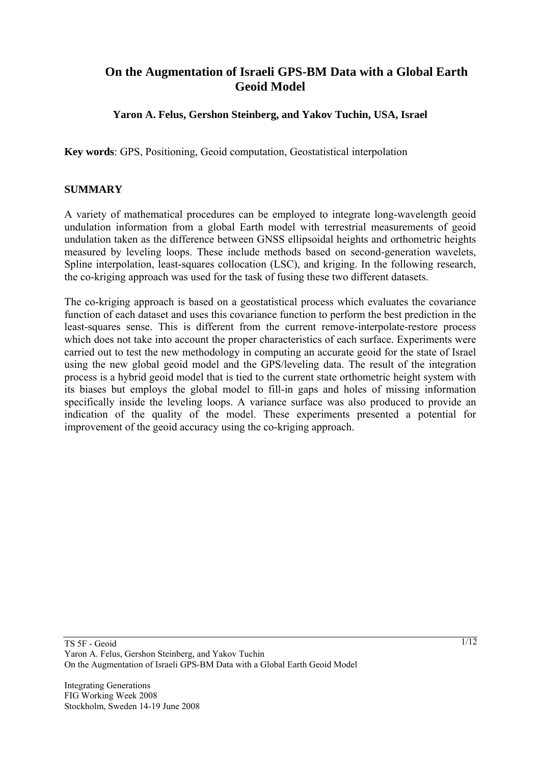# **On the Augmentation of Israeli GPS-BM Data with a Global Earth Geoid Model**

## **Yaron A. Felus, Gershon Steinberg, and Yakov Tuchin, USA, Israel**

**Key words**: GPS, Positioning, Geoid computation, Geostatistical interpolation

#### **SUMMARY**

A variety of mathematical procedures can be employed to integrate long-wavelength geoid undulation information from a global Earth model with terrestrial measurements of geoid undulation taken as the difference between GNSS ellipsoidal heights and orthometric heights measured by leveling loops. These include methods based on second-generation wavelets, Spline interpolation, least-squares collocation (LSC), and kriging. In the following research, the co-kriging approach was used for the task of fusing these two different datasets.

The co-kriging approach is based on a geostatistical process which evaluates the covariance function of each dataset and uses this covariance function to perform the best prediction in the least-squares sense. This is different from the current remove-interpolate-restore process which does not take into account the proper characteristics of each surface. Experiments were carried out to test the new methodology in computing an accurate geoid for the state of Israel using the new global geoid model and the GPS/leveling data. The result of the integration process is a hybrid geoid model that is tied to the current state orthometric height system with its biases but employs the global model to fill-in gaps and holes of missing information specifically inside the leveling loops. A variance surface was also produced to provide an indication of the quality of the model. These experiments presented a potential for improvement of the geoid accuracy using the co-kriging approach.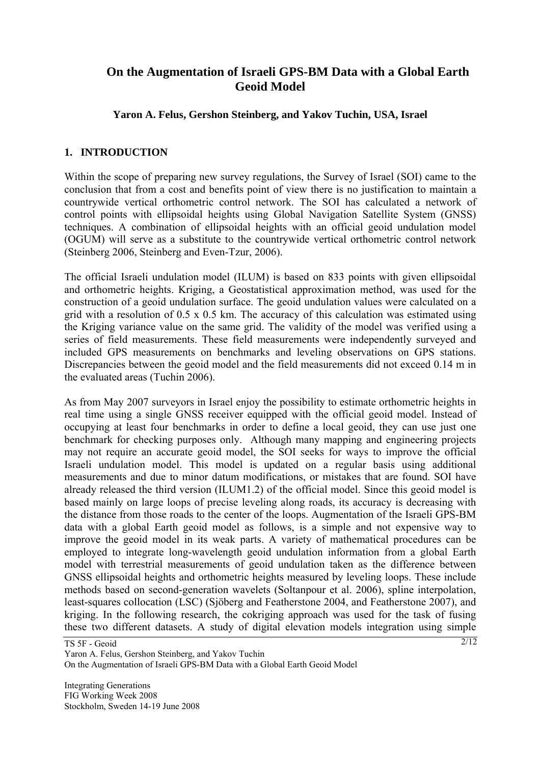# **On the Augmentation of Israeli GPS-BM Data with a Global Earth Geoid Model**

## **Yaron A. Felus, Gershon Steinberg, and Yakov Tuchin, USA, Israel**

## **1. INTRODUCTION**

Within the scope of preparing new survey regulations, the Survey of Israel (SOI) came to the conclusion that from a cost and benefits point of view there is no justification to maintain a countrywide vertical orthometric control network. The SOI has calculated a network of control points with ellipsoidal heights using Global Navigation Satellite System (GNSS) techniques. A combination of ellipsoidal heights with an official geoid undulation model (OGUM) will serve as a substitute to the countrywide vertical orthometric control network (Steinberg 2006, Steinberg and Even-Tzur, 2006).

The official Israeli undulation model (ILUM) is based on 833 points with given ellipsoidal and orthometric heights. Kriging, a Geostatistical approximation method, was used for the construction of a geoid undulation surface. The geoid undulation values were calculated on a grid with a resolution of 0.5 x 0.5 km. The accuracy of this calculation was estimated using the Kriging variance value on the same grid. The validity of the model was verified using a series of field measurements. These field measurements were independently surveyed and included GPS measurements on benchmarks and leveling observations on GPS stations. Discrepancies between the geoid model and the field measurements did not exceed 0.14 m in the evaluated areas (Tuchin 2006).

As from May 2007 surveyors in Israel enjoy the possibility to estimate orthometric heights in real time using a single GNSS receiver equipped with the official geoid model. Instead of occupying at least four benchmarks in order to define a local geoid, they can use just one benchmark for checking purposes only. Although many mapping and engineering projects may not require an accurate geoid model, the SOI seeks for ways to improve the official Israeli undulation model. This model is updated on a regular basis using additional measurements and due to minor datum modifications, or mistakes that are found. SOI have already released the third version (ILUM1.2) of the official model. Since this geoid model is based mainly on large loops of precise leveling along roads, its accuracy is decreasing with the distance from those roads to the center of the loops. Augmentation of the Israeli GPS-BM data with a global Earth geoid model as follows, is a simple and not expensive way to improve the geoid model in its weak parts. A variety of mathematical procedures can be employed to integrate long-wavelength geoid undulation information from a global Earth model with terrestrial measurements of geoid undulation taken as the difference between GNSS ellipsoidal heights and orthometric heights measured by leveling loops. These include methods based on second-generation wavelets (Soltanpour et al. 2006), spline interpolation, least-squares collocation (LSC) (Sjöberg and Featherstone 2004, and Featherstone 2007), and kriging. In the following research, the cokriging approach was used for the task of fusing these two different datasets. A study of digital elevation models integration using simple

TS 5F - Geoid

Yaron A. Felus, Gershon Steinberg, and Yakov Tuchin On the Augmentation of Israeli GPS-BM Data with a Global Earth Geoid Model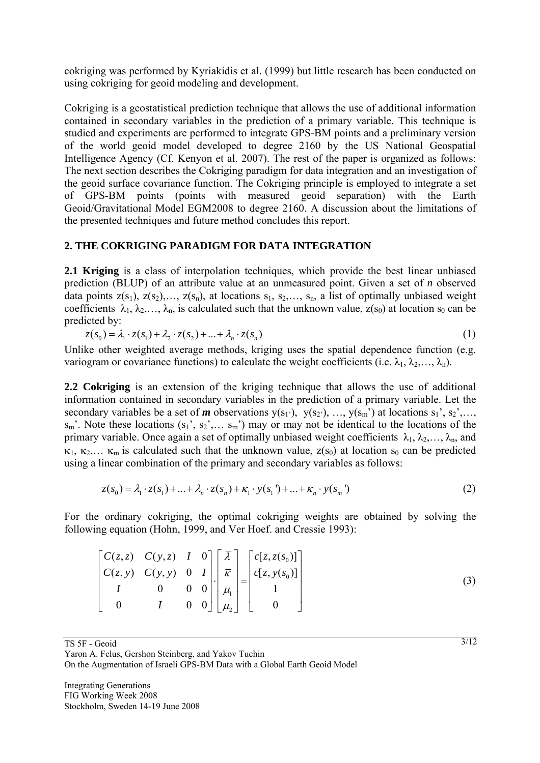cokriging was performed by Kyriakidis et al. (1999) but little research has been conducted on using cokriging for geoid modeling and development.

Cokriging is a geostatistical prediction technique that allows the use of additional information contained in secondary variables in the prediction of a primary variable. This technique is studied and experiments are performed to integrate GPS-BM points and a preliminary version of the world geoid model developed to degree 2160 by the US National Geospatial Intelligence Agency (Cf. Kenyon et al. 2007). The rest of the paper is organized as follows: The next section describes the Cokriging paradigm for data integration and an investigation of the geoid surface covariance function. The Cokriging principle is employed to integrate a set of GPS-BM points (points with measured geoid separation) with the Earth Geoid/Gravitational Model EGM2008 to degree 2160. A discussion about the limitations of the presented techniques and future method concludes this report.

## **2. THE COKRIGING PARADIGM FOR DATA INTEGRATION**

**2.1 Kriging** is a class of interpolation techniques, which provide the best linear unbiased prediction (BLUP) of an attribute value at an unmeasured point. Given a set of *n* observed data points  $z(s_1)$ ,  $z(s_2)$ ,...,  $z(s_n)$ , at locations  $s_1, s_2,..., s_n$ , a list of optimally unbiased weight coefficients  $\lambda_1, \lambda_2, ..., \lambda_n$ , is calculated such that the unknown value,  $z(s_0)$  at location  $s_0$  can be predicted by:

$$
z(s_0) = \lambda_1 \cdot z(s_1) + \lambda_2 \cdot z(s_2) + \dots + \lambda_n \cdot z(s_n)
$$
\n<sup>(1)</sup>

Unlike other weighted average methods, kriging uses the spatial dependence function (e.g. variogram or covariance functions) to calculate the weight coefficients (i.e.  $\lambda_1, \lambda_2, ..., \lambda_n$ ).

**2.2 Cokriging** is an extension of the kriging technique that allows the use of additional information contained in secondary variables in the prediction of a primary variable. Let the secondary variables be a set of *m* observations  $y(s_1)$ ,  $y(s_2)$ , ...,  $y(s_m)$  at locations  $s_1$ <sup>2</sup>,  $s_2$ <sup>2</sup>,...,  $s_m$ . Note these locations  $(s_1, s_2, \ldots s_m)$  may or may not be identical to the locations of the primary variable. Once again a set of optimally unbiased weight coefficients  $\lambda_1, \lambda_2, \ldots, \lambda_n$ , and  $\kappa_1, \kappa_2,... \kappa_m$  is calculated such that the unknown value,  $z(s_0)$  at location  $s_0$  can be predicted using a linear combination of the primary and secondary variables as follows:

$$
z(s_0) = \lambda_1 \cdot z(s_1) + \dots + \lambda_n \cdot z(s_n) + \kappa_1 \cdot y(s_1') + \dots + \kappa_n \cdot y(s_m')
$$
 (2)

For the ordinary cokriging, the optimal cokriging weights are obtained by solving the following equation (Hohn, 1999, and Ver Hoef. and Cressie 1993):

|  |  |  | $\begin{bmatrix} C(z, z) & C(y, z) & I & 0 \\ C(z, y) & C(y, y) & 0 & I \\ I & 0 & 0 & 0 \\ 0 & I & 0 & 0 \end{bmatrix} \cdot \begin{bmatrix} \overline{\lambda} \\ \overline{\kappa} \\ \mu_1 \\ \mu_2 \end{bmatrix} = \begin{bmatrix} c[z, z(s_0)] \\ c[z, y(s_0)] \\ 1 \\ 0 \end{bmatrix}$ |  |
|--|--|--|-----------------------------------------------------------------------------------------------------------------------------------------------------------------------------------------------------------------------------------------------------------------------------------------------|--|
|  |  |  |                                                                                                                                                                                                                                                                                               |  |

TS 5F - Geoid

Yaron A. Felus, Gershon Steinberg, and Yakov Tuchin

On the Augmentation of Israeli GPS-BM Data with a Global Earth Geoid Model

3/12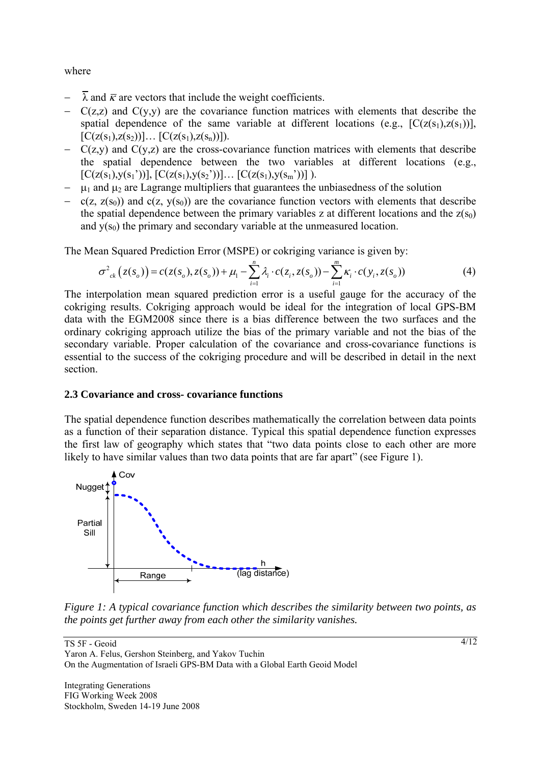where

- $\overline{\lambda}$  and  $\overline{\kappa}$  are vectors that include the weight coefficients.
- − C(z,z) and C(y,y) are the covariance function matrices with elements that describe the spatial dependence of the same variable at different locations (e.g.,  $[C(z(s_1),z(s_1))]$ ,  $[C(z(s_1),z(s_2))] \dots [C(z(s_1),z(s_n))]$ .
- − C(z,y) and C(y,z) are the cross-covariance function matrices with elements that describe the spatial dependence between the two variables at different locations (e.g.,  $[C(z(s_1),y(s_1'))], [C(z(s_1),y(s_2'))]... [C(z(s_1),y(s_m'))]$ .
- $\mu_1$  and  $\mu_2$  are Lagrange multipliers that guarantees the unbiasedness of the solution
- $c(z, z(s_0))$  and  $c(z, y(s_0))$  are the covariance function vectors with elements that describe the spatial dependence between the primary variables z at different locations and the  $z(s_0)$ and  $y(s_0)$  the primary and secondary variable at the unmeasured location.

The Mean Squared Prediction Error (MSPE) or cokriging variance is given by:

$$
\sigma_{ck}^{2}(z(s_{o})) = c(z(s_{o}), z(s_{o})) + \mu_{1} - \sum_{i=1}^{n} \lambda_{i} \cdot c(z_{i}, z(s_{o})) - \sum_{i=1}^{m} \kappa_{i} \cdot c(y_{i}, z(s_{o}))
$$
(4)

The interpolation mean squared prediction error is a useful gauge for the accuracy of the cokriging results. Cokriging approach would be ideal for the integration of local GPS-BM data with the EGM2008 since there is a bias difference between the two surfaces and the ordinary cokriging approach utilize the bias of the primary variable and not the bias of the secondary variable. Proper calculation of the covariance and cross-covariance functions is essential to the success of the cokriging procedure and will be described in detail in the next section.

#### **2.3 Covariance and cross- covariance functions**

The spatial dependence function describes mathematically the correlation between data points as a function of their separation distance. Typical this spatial dependence function expresses the first law of geography which states that "two data points close to each other are more likely to have similar values than two data points that are far apart" (see Figure 1).



*Figure 1: A typical covariance function which describes the similarity between two points, as the points get further away from each other the similarity vanishes.* 

TS 5F - Geoid Yaron A. Felus, Gershon Steinberg, and Yakov Tuchin On the Augmentation of Israeli GPS-BM Data with a Global Earth Geoid Model

Integrating Generations FIG Working Week 2008 Stockholm, Sweden 14-19 June 2008 4/12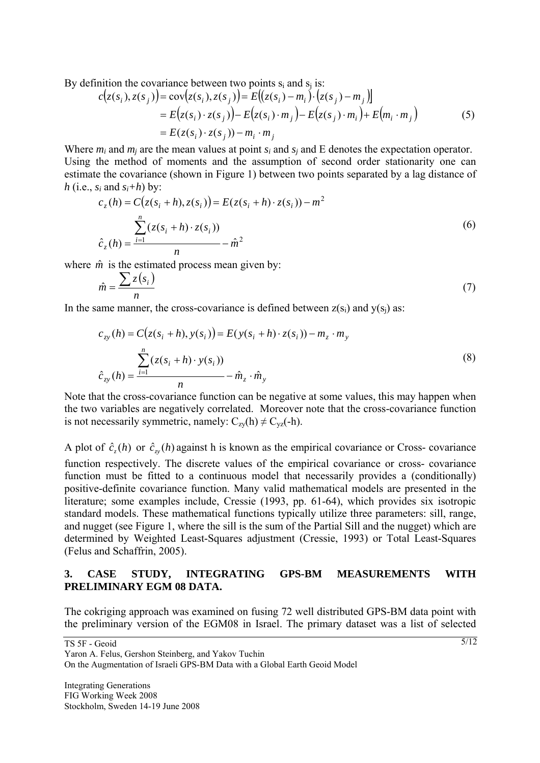By definition the covariance between two points  $s_i$  and  $s_j$  is:

$$
c(z(s_i), z(s_j)) = cov(z(s_i), z(s_j)) = E((z(s_i) - m_i) \cdot (z(s_j) - m_j))
$$
  
=  $E(z(s_i) \cdot z(s_j)) - E(z(s_i) \cdot m_j) - E(z(s_j) \cdot m_i) + E(m_i \cdot m_j)$   
=  $E(z(s_i) \cdot z(s_j)) - m_i \cdot m_j$  (5)

Where *m<sub>i</sub>* and *m<sub>i</sub>* are the mean values at point *s<sub>i</sub>* and *s<sub>i</sub>* and E denotes the expectation operator. Using the method of moments and the assumption of second order stationarity one can estimate the covariance (shown in Figure 1) between two points separated by a lag distance of *h* (i.e.,  $s_i$  and  $s_i+h$ ) by:

$$
c_z(h) = C(z(s_i + h), z(s_i)) = E(z(s_i + h) \cdot z(s_i)) - m^2
$$
  

$$
\sum_{i=1}^n (z(s_i + h) \cdot z(s_i))
$$
  

$$
\hat{c}_z(h) = \frac{\sum_{i=1}^n (z(s_i + h) \cdot z(s_i))}{n} - \hat{m}^2
$$
 (6)

where  $\hat{m}$  is the estimated process mean given by:

$$
\hat{m} = \frac{\sum z(s_i)}{n} \tag{7}
$$

In the same manner, the cross-covariance is defined between  $z(s_i)$  and  $y(s_i)$  as:

$$
c_{zy}(h) = C(z(s_i + h), y(s_i)) = E(y(s_i + h) \cdot z(s_i)) - m_z \cdot m_y
$$
  

$$
\sum_{z}^{n} (z(s_i + h) \cdot y(s_i))
$$
  

$$
\hat{c}_{zy}(h) = \frac{\sum_{i=1}^{n} (z(s_i + h) \cdot y(s_i))}{n} - \hat{m}_z \cdot \hat{m}_y
$$
 (8)

Note that the cross-covariance function can be negative at some values, this may happen when the two variables are negatively correlated. Moreover note that the cross-covariance function is not necessarily symmetric, namely:  $C_{zy}(h) \neq C_{yz}(-h)$ .

A plot of  $\hat{c}_n(h)$  or  $\hat{c}_n(h)$  against h is known as the empirical covariance or Cross- covariance

function respectively. The discrete values of the empirical covariance or cross- covariance function must be fitted to a continuous model that necessarily provides a (conditionally) positive-definite covariance function. Many valid mathematical models are presented in the literature; some examples include, Cressie (1993, pp. 61-64), which provides six isotropic standard models. These mathematical functions typically utilize three parameters: sill, range, and nugget (see Figure 1, where the sill is the sum of the Partial Sill and the nugget) which are determined by Weighted Least-Squares adjustment (Cressie, 1993) or Total Least-Squares (Felus and Schaffrin, 2005).

#### **3. CASE STUDY, INTEGRATING GPS-BM MEASUREMENTS WITH PRELIMINARY EGM 08 DATA.**

The cokriging approach was examined on fusing 72 well distributed GPS-BM data point with the preliminary version of the EGM08 in Israel. The primary dataset was a list of selected

TS 5F - Geoid

Yaron A. Felus, Gershon Steinberg, and Yakov Tuchin On the Augmentation of Israeli GPS-BM Data with a Global Earth Geoid Model

Integrating Generations FIG Working Week 2008 Stockholm, Sweden 14-19 June 2008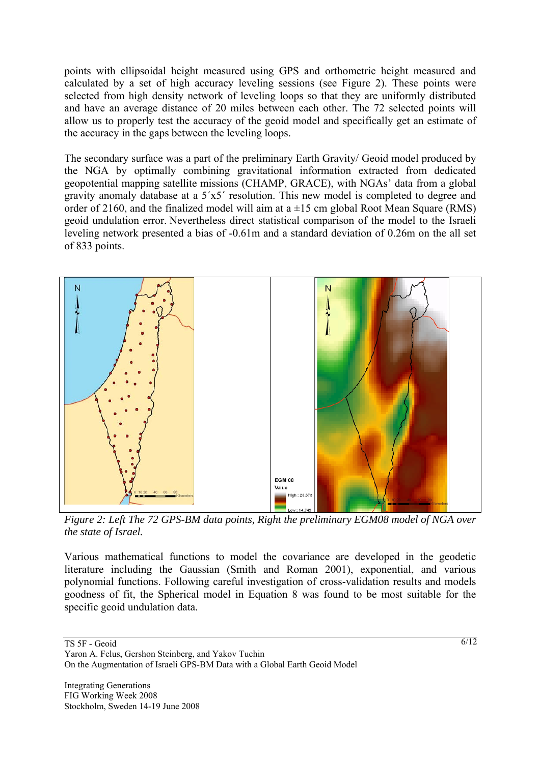points with ellipsoidal height measured using GPS and orthometric height measured and calculated by a set of high accuracy leveling sessions (see Figure 2). These points were selected from high density network of leveling loops so that they are uniformly distributed and have an average distance of 20 miles between each other. The 72 selected points will allow us to properly test the accuracy of the geoid model and specifically get an estimate of the accuracy in the gaps between the leveling loops.

The secondary surface was a part of the preliminary Earth Gravity/ Geoid model produced by the NGA by optimally combining gravitational information extracted from dedicated geopotential mapping satellite missions (CHAMP, GRACE), with NGAs' data from a global gravity anomaly database at a 5´x5´ resolution. This new model is completed to degree and order of 2160, and the finalized model will aim at  $a \pm 15$  cm global Root Mean Square (RMS) geoid undulation error. Nevertheless direct statistical comparison of the model to the Israeli leveling network presented a bias of -0.61m and a standard deviation of 0.26m on the all set of 833 points.



*Figure 2: Left The 72 GPS-BM data points, Right the preliminary EGM08 model of NGA over the state of Israel.* 

Various mathematical functions to model the covariance are developed in the geodetic literature including the Gaussian (Smith and Roman 2001), exponential, and various polynomial functions. Following careful investigation of cross-validation results and models goodness of fit, the Spherical model in Equation 8 was found to be most suitable for the specific geoid undulation data.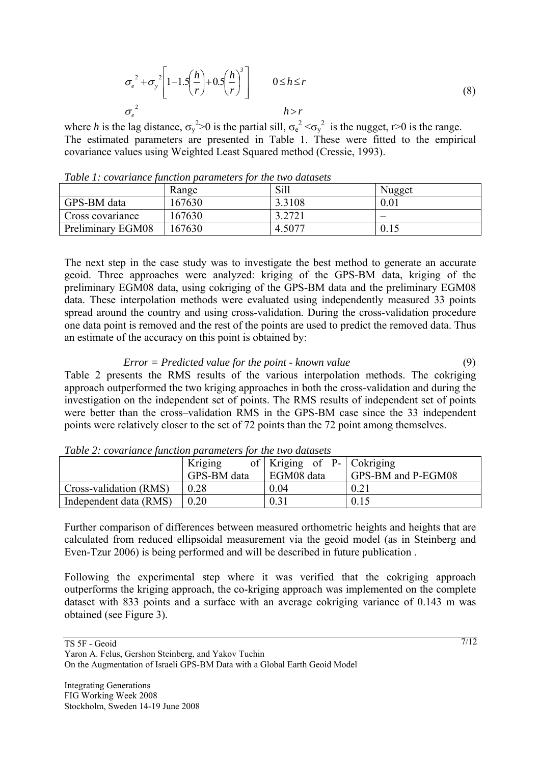$$
\sigma_e^2 + \sigma_y^2 \left[ 1 - 1.5 \left( \frac{h}{r} \right) + 0.5 \left( \frac{h}{r} \right)^3 \right] \qquad 0 \le h \le r
$$
\n
$$
\sigma_e^2 \qquad h > r \qquad (8)
$$

where *h* is the lag distance,  $\sigma_y^2 > 0$  is the partial sill,  $\sigma_e^2 < \sigma_y^2$  is the nugget, r>0 is the range. The estimated parameters are presented in Table 1. These were fitted to the empirical covariance values using Weighted Least Squared method (Cressie, 1993).

| Twore It cordinate juilonoir parameters for the three advices |        |        |        |  |  |  |  |
|---------------------------------------------------------------|--------|--------|--------|--|--|--|--|
|                                                               | Range  | Sill   | Nugget |  |  |  |  |
| GPS-BM data                                                   | 167630 | 3.3108 | 0.01   |  |  |  |  |
| Cross covariance                                              | 167630 | 3.2721 |        |  |  |  |  |
| Preliminary EGM08                                             | 167630 | 4.5077 | 0.15   |  |  |  |  |

*Table 1: covariance function parameters for the two datasets* 

The next step in the case study was to investigate the best method to generate an accurate geoid. Three approaches were analyzed: kriging of the GPS-BM data, kriging of the preliminary EGM08 data, using cokriging of the GPS-BM data and the preliminary EGM08 data. These interpolation methods were evaluated using independently measured 33 points spread around the country and using cross-validation. During the cross-validation procedure one data point is removed and the rest of the points are used to predict the removed data. Thus an estimate of the accuracy on this point is obtained by:

*Error = Predicted value for the point - known value* (9) Table 2 presents the RMS results of the various interpolation methods. The cokriging approach outperformed the two kriging approaches in both the cross-validation and during the investigation on the independent set of points. The RMS results of independent set of points were better than the cross–validation RMS in the GPS-BM case since the 33 independent points were relatively closer to the set of 72 points than the 72 point among themselves.

|                        | Kriging     | of   Kriging of P-   Cokriging |                    |  |  |  |  |  |
|------------------------|-------------|--------------------------------|--------------------|--|--|--|--|--|
|                        | GPS-BM data | EGM08 data                     | GPS-BM and P-EGM08 |  |  |  |  |  |
| Cross-validation (RMS) | 0.28        | 0.04                           | 0.21               |  |  |  |  |  |
| Independent data (RMS) | 0.20        | 0.31                           | 0.15               |  |  |  |  |  |

*Table 2: covariance function parameters for the two datasets* 

Further comparison of differences between measured orthometric heights and heights that are calculated from reduced ellipsoidal measurement via the geoid model (as in Steinberg and Even-Tzur 2006) is being performed and will be described in future publication .

Following the experimental step where it was verified that the cokriging approach outperforms the kriging approach, the co-kriging approach was implemented on the complete dataset with 833 points and a surface with an average cokriging variance of 0.143 m was obtained (see Figure 3).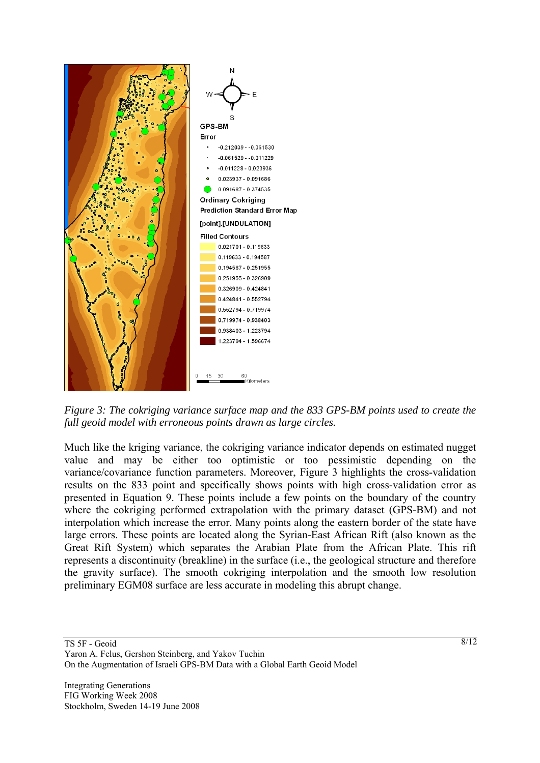

*Figure 3: The cokriging variance surface map and the 833 GPS-BM points used to create the full geoid model with erroneous points drawn as large circles.* 

Much like the kriging variance, the cokriging variance indicator depends on estimated nugget value and may be either too optimistic or too pessimistic depending on the variance/covariance function parameters. Moreover, Figure 3 highlights the cross-validation results on the 833 point and specifically shows points with high cross-validation error as presented in Equation 9. These points include a few points on the boundary of the country where the cokriging performed extrapolation with the primary dataset (GPS-BM) and not interpolation which increase the error. Many points along the eastern border of the state have large errors. These points are located along the Syrian-East African Rift (also known as the Great Rift System) which separates the Arabian Plate from the African Plate. This rift represents a discontinuity (breakline) in the surface (i.e., the geological structure and therefore the gravity surface). The smooth cokriging interpolation and the smooth low resolution preliminary EGM08 surface are less accurate in modeling this abrupt change.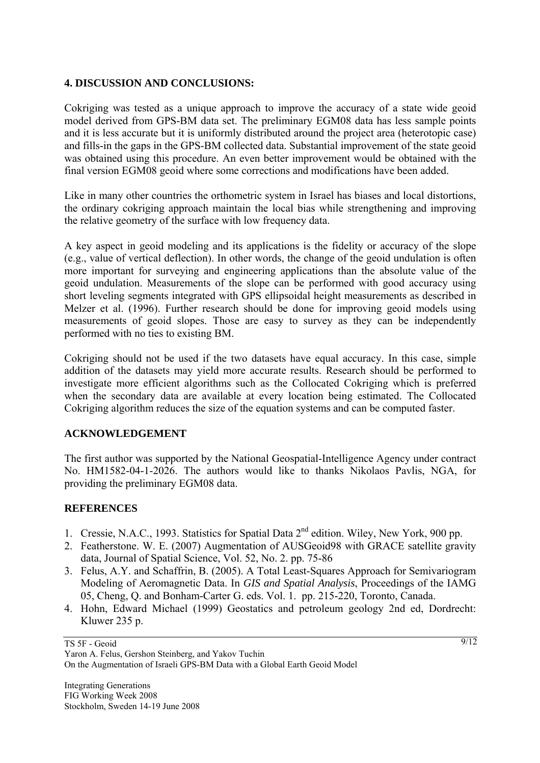## **4. DISCUSSION AND CONCLUSIONS:**

Cokriging was tested as a unique approach to improve the accuracy of a state wide geoid model derived from GPS-BM data set. The preliminary EGM08 data has less sample points and it is less accurate but it is uniformly distributed around the project area (heterotopic case) and fills-in the gaps in the GPS-BM collected data. Substantial improvement of the state geoid was obtained using this procedure. An even better improvement would be obtained with the final version EGM08 geoid where some corrections and modifications have been added.

Like in many other countries the orthometric system in Israel has biases and local distortions, the ordinary cokriging approach maintain the local bias while strengthening and improving the relative geometry of the surface with low frequency data.

A key aspect in geoid modeling and its applications is the fidelity or accuracy of the slope (e.g., value of vertical deflection). In other words, the change of the geoid undulation is often more important for surveying and engineering applications than the absolute value of the geoid undulation. Measurements of the slope can be performed with good accuracy using short leveling segments integrated with GPS ellipsoidal height measurements as described in Melzer et al. (1996). Further research should be done for improving geoid models using measurements of geoid slopes. Those are easy to survey as they can be independently performed with no ties to existing BM.

Cokriging should not be used if the two datasets have equal accuracy. In this case, simple addition of the datasets may yield more accurate results. Research should be performed to investigate more efficient algorithms such as the Collocated Cokriging which is preferred when the secondary data are available at every location being estimated. The Collocated Cokriging algorithm reduces the size of the equation systems and can be computed faster.

## **ACKNOWLEDGEMENT**

The first author was supported by the National Geospatial-Intelligence Agency under contract No. HM1582-04-1-2026. The authors would like to thanks Nikolaos Pavlis, NGA, for providing the preliminary EGM08 data.

## **REFERENCES**

- 1. Cressie, N.A.C., 1993. Statistics for Spatial Data 2nd edition. Wiley, New York, 900 pp.
- 2. Featherstone. W. E. (2007) Augmentation of AUSGeoid98 with GRACE satellite gravity data, Journal of Spatial Science, Vol. 52, No. 2. pp. 75-86
- 3. Felus, A.Y. and Schaffrin, B. (2005). A Total Least-Squares Approach for Semivariogram Modeling of Aeromagnetic Data. In *GIS and Spatial Analysis*, Proceedings of the IAMG 05, Cheng, Q. and Bonham-Carter G. eds. Vol. 1. pp. 215-220, Toronto, Canada.
- 4. Hohn, Edward Michael (1999) Geostatics and petroleum geology 2nd ed, Dordrecht: Kluwer 235 p.

TS 5F - Geoid

9/12

Yaron A. Felus, Gershon Steinberg, and Yakov Tuchin On the Augmentation of Israeli GPS-BM Data with a Global Earth Geoid Model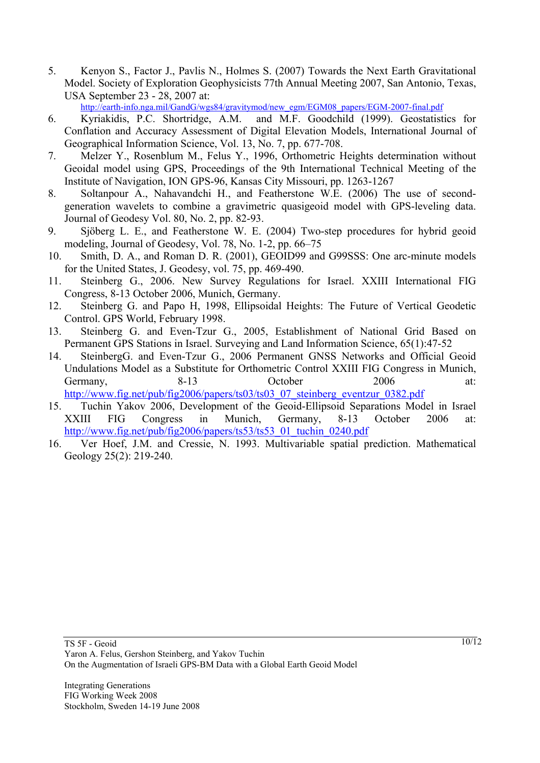5. Kenyon S., Factor J., Pavlis N., Holmes S. (2007) Towards the Next Earth Gravitational Model. Society of Exploration Geophysicists 77th Annual Meeting 2007, San Antonio, Texas, USA September 23 - 28, 2007 at:

http://earth-info.nga.mil/GandG/wgs84/gravitymod/new\_egm/EGM08\_papers/EGM-2007-final.pdf

- 6. Kyriakidis, P.C. Shortridge, A.M. and M.F. Goodchild (1999). Geostatistics for Conflation and Accuracy Assessment of Digital Elevation Models, International Journal of Geographical Information Science, Vol. 13, No. 7, pp. 677-708.
- 7. Melzer Y., Rosenblum M., Felus Y., 1996, Orthometric Heights determination without Geoidal model using GPS, Proceedings of the 9th International Technical Meeting of the Institute of Navigation, ION GPS-96, Kansas City Missouri, pp. 1263-1267
- 8. Soltanpour A., Nahavandchi H., and Featherstone W.E. (2006) The use of secondgeneration wavelets to combine a gravimetric quasigeoid model with GPS-leveling data. Journal of Geodesy Vol. 80, No. 2, pp. 82-93.
- 9. Sjöberg L. E., and Featherstone W. E. (2004) Two-step procedures for hybrid geoid modeling, Journal of Geodesy, Vol. 78, No. 1-2, pp. 66–75
- 10. Smith, D. A., and Roman D. R. (2001), GEOID99 and G99SSS: One arc-minute models for the United States, J. Geodesy, vol. 75, pp. 469-490.
- 11. Steinberg G., 2006. New Survey Regulations for Israel. XXIII International FIG Congress, 8-13 October 2006, Munich, Germany.
- 12. Steinberg G. and Papo H, 1998, Ellipsoidal Heights: The Future of Vertical Geodetic Control. GPS World, February 1998.
- 13. Steinberg G. and Even-Tzur G., 2005, Establishment of National Grid Based on Permanent GPS Stations in Israel. Surveying and Land Information Science, 65(1):47-52
- 14. SteinbergG. and Even-Tzur G., 2006 Permanent GNSS Networks and Official Geoid Undulations Model as a Substitute for Orthometric Control XXIII FIG Congress in Munich, Germany, 8-13 October 2006 at: http://www.fig.net/pub/fig2006/papers/ts03/ts03\_07\_steinberg\_eventzur\_0382.pdf
- 15. Tuchin Yakov 2006, Development of the Geoid-Ellipsoid Separations Model in Israel XXIII FIG Congress in Munich, Germany, 8-13 October 2006 at: http://www.fig.net/pub/fig2006/papers/ts53/ts53\_01\_tuchin\_0240.pdf
- 16. Ver Hoef, J.M. and Cressie, N. 1993. Multivariable spatial prediction. Mathematical Geology 25(2): 219-240.

Integrating Generations FIG Working Week 2008 Stockholm, Sweden 14-19 June 2008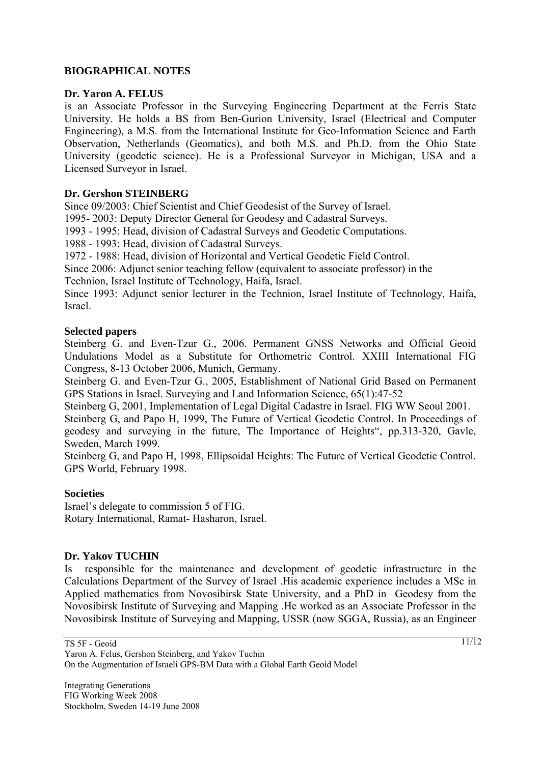## **BIOGRAPHICAL NOTES**

#### **Dr. Yaron A. FELUS**

is an Associate Professor in the Surveying Engineering Department at the Ferris State University. He holds a BS from Ben-Gurion University, Israel (Electrical and Computer Engineering), a M.S. from the International Institute for Geo-Information Science and Earth Observation, Netherlands (Geomatics), and both M.S. and Ph.D. from the Ohio State University (geodetic science). He is a Professional Surveyor in Michigan, USA and a Licensed Surveyor in Israel.

#### **Dr. Gershon STEINBERG**

Since 09/2003: Chief Scientist and Chief Geodesist of the Survey of Israel.

1995- 2003: Deputy Director General for Geodesy and Cadastral Surveys.

1993 - 1995: Head, division of Cadastral Surveys and Geodetic Computations.

1988 - 1993: Head, division of Cadastral Surveys.

1972 - 1988: Head, division of Horizontal and Vertical Geodetic Field Control.

Since 2006: Adjunct senior teaching fellow (equivalent to associate professor) in the

Technion, Israel Institute of Technology, Haifa, Israel.

Since 1993: Adjunct senior lecturer in the Technion, Israel Institute of Technology, Haifa, Israel.

#### **Selected papers**

Steinberg G. and Even-Tzur G., 2006. Permanent GNSS Networks and Official Geoid Undulations Model as a Substitute for Orthometric Control. XXIII International FIG Congress, 8-13 October 2006, Munich, Germany.

Steinberg G. and Even-Tzur G., 2005, Establishment of National Grid Based on Permanent GPS Stations in Israel. Surveying and Land Information Science, 65(1):47-52

Steinberg G, 2001, Implementation of Legal Digital Cadastre in Israel. FIG WW Seoul 2001.

Steinberg G, and Papo H, 1999, The Future of Vertical Geodetic Control. In Proceedings of geodesy and surveying in the future, The Importance of Heights", pp.313-320, Gavle, Sweden, March 1999.

Steinberg G, and Papo H, 1998, Ellipsoidal Heights: The Future of Vertical Geodetic Control. GPS World, February 1998.

## **Societies**

Israel's delegate to commission 5 of FIG. Rotary International, Ramat- Hasharon, Israel.

## **Dr. Yakov TUCHIN**

Is responsible for the maintenance and development of geodetic infrastructure in the Calculations Department of the Survey of Israel .His academic experience includes a MSc in Applied mathematics from Novosibirsk State University, and a PhD in Geodesy from the Novosibirsk Institute of Surveying and Mapping .He worked as an Associate Professor in the Novosibirsk Institute of Surveying and Mapping, USSR (now SGGA, Russia), as an Engineer